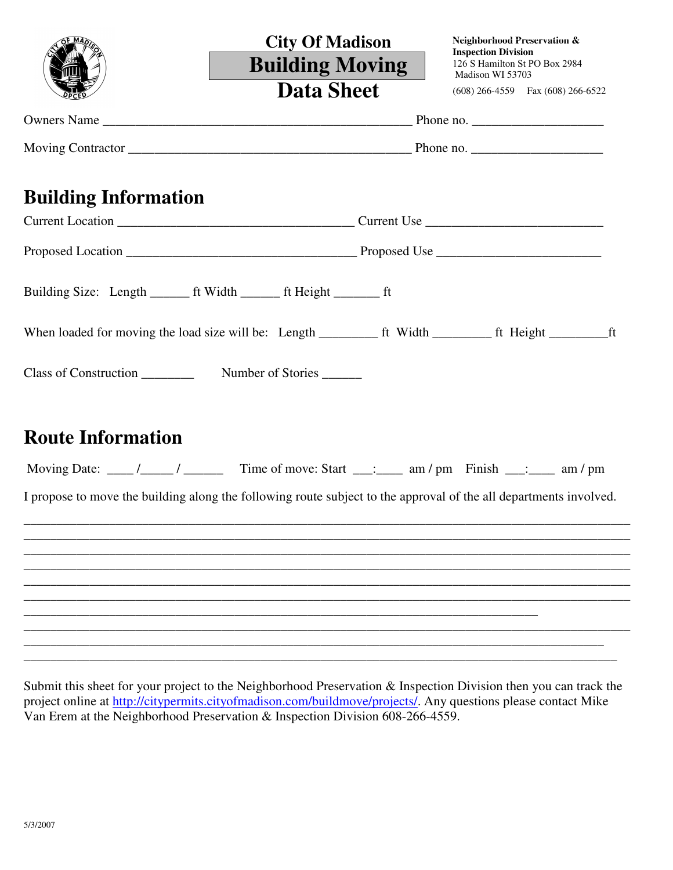|                             | <b>City Of Madison</b>                                                                                            | Neighborhood Preservation &<br><b>Inspection Division</b> |
|-----------------------------|-------------------------------------------------------------------------------------------------------------------|-----------------------------------------------------------|
|                             | <b>Building Moving</b>                                                                                            | 126 S Hamilton St PO Box 2984<br>Madison WI 53703         |
|                             | <b>Data Sheet</b>                                                                                                 | $(608)$ 266-4559 Fax $(608)$ 266-6522                     |
|                             |                                                                                                                   |                                                           |
|                             |                                                                                                                   |                                                           |
| <b>Building Information</b> |                                                                                                                   |                                                           |
|                             |                                                                                                                   |                                                           |
|                             |                                                                                                                   |                                                           |
|                             |                                                                                                                   |                                                           |
|                             |                                                                                                                   |                                                           |
|                             |                                                                                                                   |                                                           |
| <b>Route Information</b>    |                                                                                                                   |                                                           |
|                             |                                                                                                                   |                                                           |
|                             | I propose to move the building along the following route subject to the approval of the all departments involved. |                                                           |
|                             |                                                                                                                   |                                                           |
|                             |                                                                                                                   |                                                           |
|                             |                                                                                                                   |                                                           |
|                             |                                                                                                                   |                                                           |
|                             |                                                                                                                   |                                                           |
|                             |                                                                                                                   |                                                           |
|                             |                                                                                                                   |                                                           |

Submit this sheet for your project to the Neighborhood Preservation & Inspection Division then you can track the project online at http://citypermits.cityofmadison.com/buildmove/projects/. Any questions please contact Mike Van Erem at the Neighborhood Preservation & Inspection Division 608-266-4559.